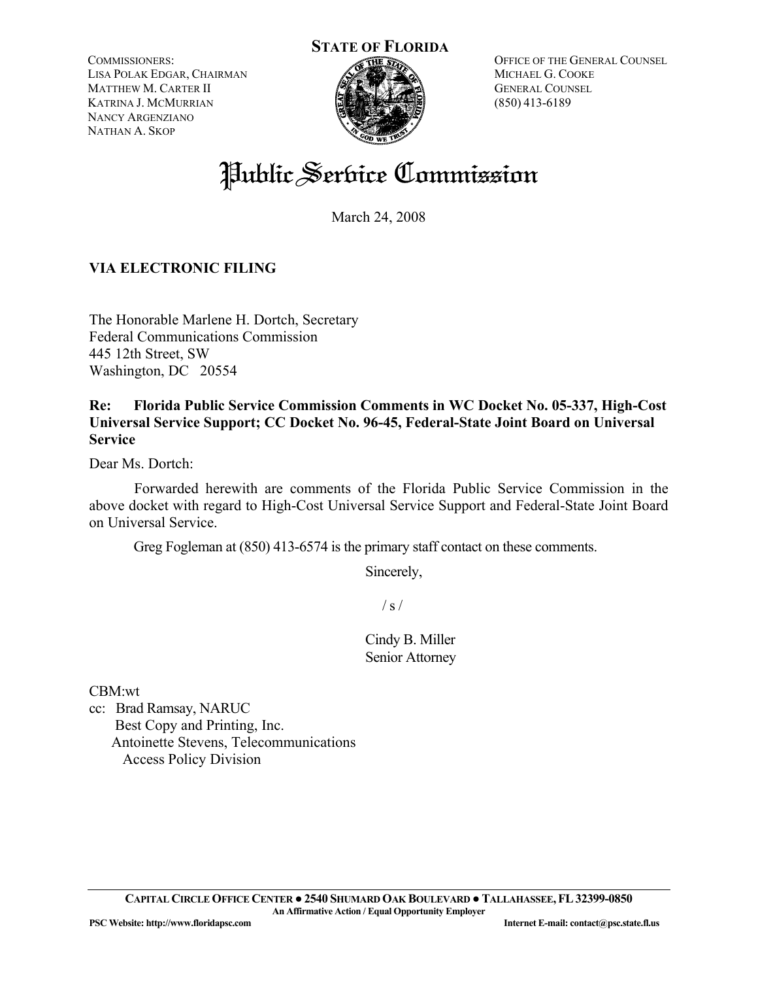COMMISSIONERS: LISA POLAK EDGAR, CHAIRMAN MATTHEW M. CARTER II KATRINA J. MCMURRIAN NANCY ARGENZIANO NATHAN A. SKOP



OFFICE OF THE GENERAL COUNSEL MICHAEL G. COOKE GENERAL COUNSEL (850) 413-6189

# Public Service Commission

March 24, 2008

## **VIA ELECTRONIC FILING**

The Honorable Marlene H. Dortch, Secretary Federal Communications Commission 445 12th Street, SW Washington, DC 20554

## **Re: Florida Public Service Commission Comments in WC Docket No. 05-337, High-Cost Universal Service Support; CC Docket No. 96-45, Federal-State Joint Board on Universal Service**

Dear Ms. Dortch:

 Forwarded herewith are comments of the Florida Public Service Commission in the above docket with regard to High-Cost Universal Service Support and Federal-State Joint Board on Universal Service.

Greg Fogleman at (850) 413-6574 is the primary staff contact on these comments.

Sincerely,

 $/ s /$ 

Cindy B. Miller Senior Attorney

CBM:wt

cc: Brad Ramsay, NARUC Best Copy and Printing, Inc. Antoinette Stevens, Telecommunications Access Policy Division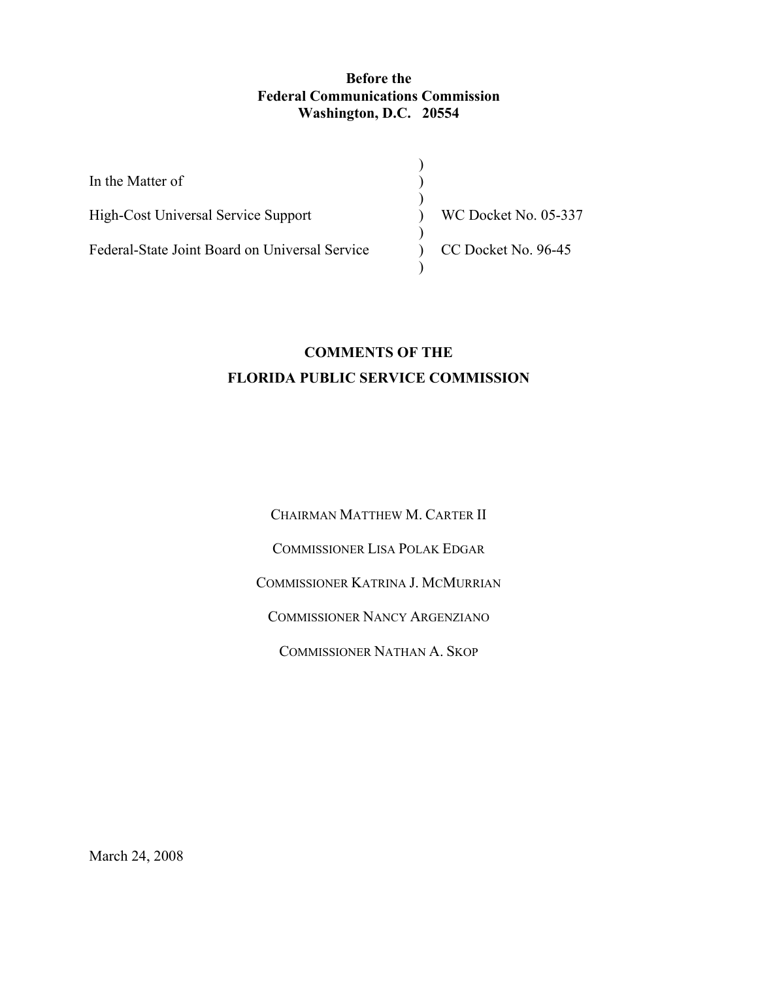#### **Before the Federal Communications Commission Washington, D.C. 20554**

| In the Matter of                               |                      |
|------------------------------------------------|----------------------|
|                                                |                      |
| High-Cost Universal Service Support            | WC Docket No. 05-337 |
|                                                |                      |
| Federal-State Joint Board on Universal Service | CC Docket No. 96-45  |
|                                                |                      |

## **COMMENTS OF THE FLORIDA PUBLIC SERVICE COMMISSION**

CHAIRMAN MATTHEW M. CARTER II

COMMISSIONER LISA POLAK EDGAR

COMMISSIONER KATRINA J. MCMURRIAN

COMMISSIONER NANCY ARGENZIANO

COMMISSIONER NATHAN A. SKOP

March 24, 2008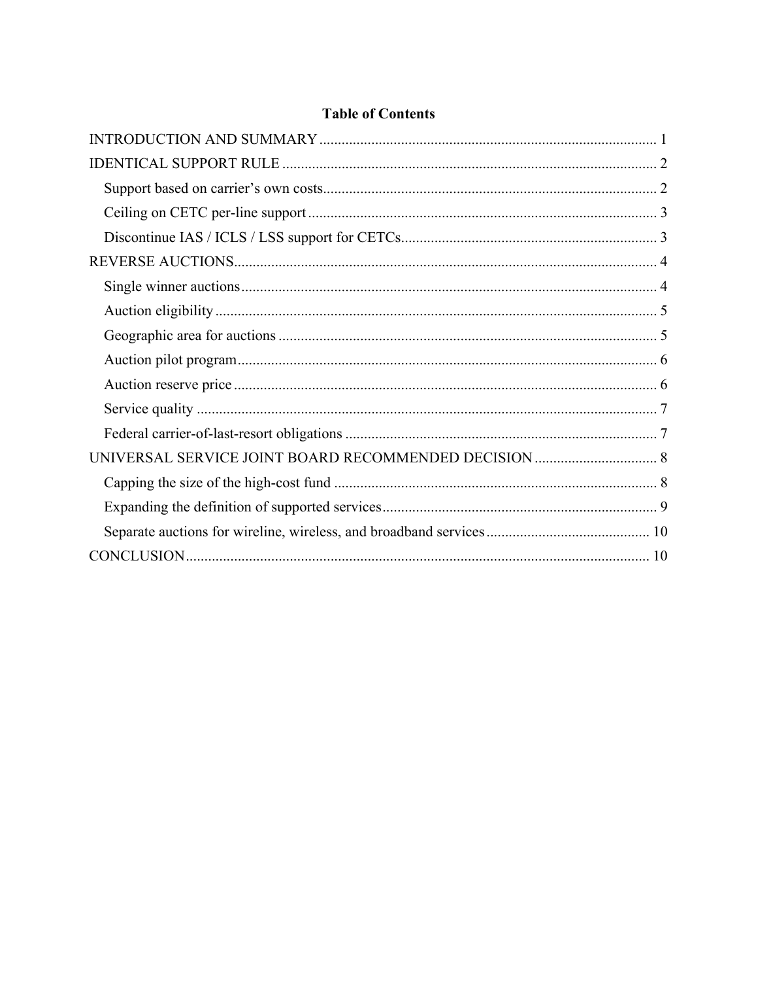## **Table of Contents**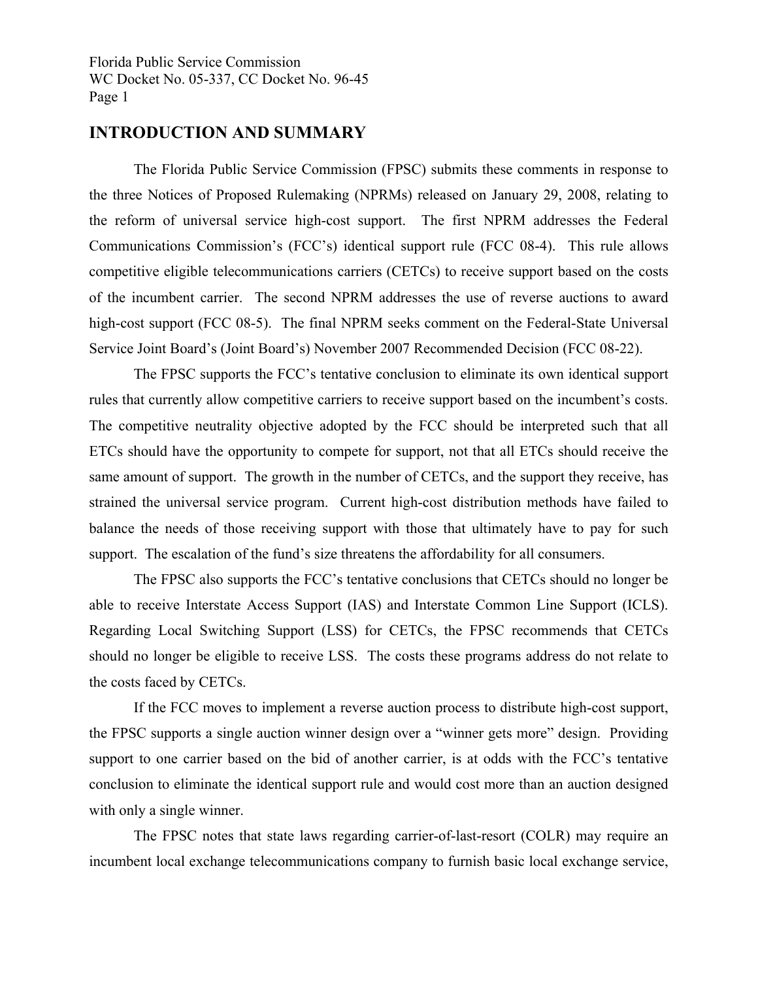## **INTRODUCTION AND SUMMARY**

 The Florida Public Service Commission (FPSC) submits these comments in response to the three Notices of Proposed Rulemaking (NPRMs) released on January 29, 2008, relating to the reform of universal service high-cost support. The first NPRM addresses the Federal Communications Commission's (FCC's) identical support rule (FCC 08-4). This rule allows competitive eligible telecommunications carriers (CETCs) to receive support based on the costs of the incumbent carrier. The second NPRM addresses the use of reverse auctions to award high-cost support (FCC 08-5). The final NPRM seeks comment on the Federal-State Universal Service Joint Board's (Joint Board's) November 2007 Recommended Decision (FCC 08-22).

 The FPSC supports the FCC's tentative conclusion to eliminate its own identical support rules that currently allow competitive carriers to receive support based on the incumbent's costs. The competitive neutrality objective adopted by the FCC should be interpreted such that all ETCs should have the opportunity to compete for support, not that all ETCs should receive the same amount of support. The growth in the number of CETCs, and the support they receive, has strained the universal service program. Current high-cost distribution methods have failed to balance the needs of those receiving support with those that ultimately have to pay for such support. The escalation of the fund's size threatens the affordability for all consumers.

 The FPSC also supports the FCC's tentative conclusions that CETCs should no longer be able to receive Interstate Access Support (IAS) and Interstate Common Line Support (ICLS). Regarding Local Switching Support (LSS) for CETCs, the FPSC recommends that CETCs should no longer be eligible to receive LSS. The costs these programs address do not relate to the costs faced by CETCs.

 If the FCC moves to implement a reverse auction process to distribute high-cost support, the FPSC supports a single auction winner design over a "winner gets more" design. Providing support to one carrier based on the bid of another carrier, is at odds with the FCC's tentative conclusion to eliminate the identical support rule and would cost more than an auction designed with only a single winner.

 The FPSC notes that state laws regarding carrier-of-last-resort (COLR) may require an incumbent local exchange telecommunications company to furnish basic local exchange service,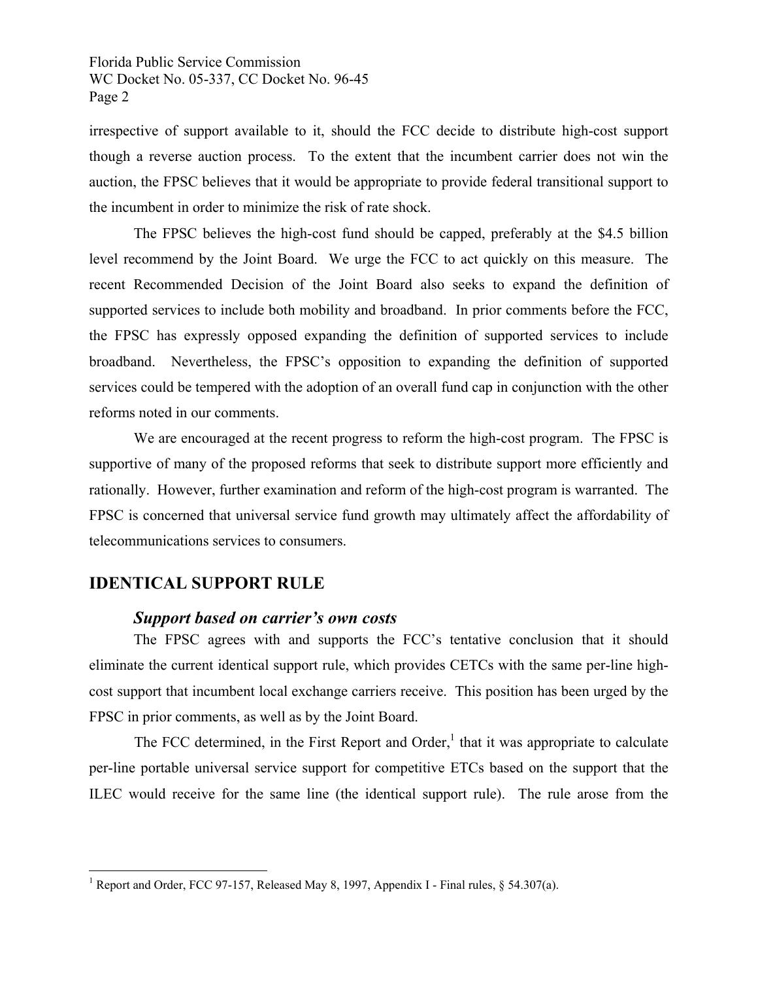irrespective of support available to it, should the FCC decide to distribute high-cost support though a reverse auction process. To the extent that the incumbent carrier does not win the auction, the FPSC believes that it would be appropriate to provide federal transitional support to the incumbent in order to minimize the risk of rate shock.

 The FPSC believes the high-cost fund should be capped, preferably at the \$4.5 billion level recommend by the Joint Board. We urge the FCC to act quickly on this measure. The recent Recommended Decision of the Joint Board also seeks to expand the definition of supported services to include both mobility and broadband. In prior comments before the FCC, the FPSC has expressly opposed expanding the definition of supported services to include broadband. Nevertheless, the FPSC's opposition to expanding the definition of supported services could be tempered with the adoption of an overall fund cap in conjunction with the other reforms noted in our comments.

 We are encouraged at the recent progress to reform the high-cost program. The FPSC is supportive of many of the proposed reforms that seek to distribute support more efficiently and rationally. However, further examination and reform of the high-cost program is warranted. The FPSC is concerned that universal service fund growth may ultimately affect the affordability of telecommunications services to consumers.

## **IDENTICAL SUPPORT RULE**

 $\overline{a}$ 

## *Support based on carrier's own costs*

 The FPSC agrees with and supports the FCC's tentative conclusion that it should eliminate the current identical support rule, which provides CETCs with the same per-line highcost support that incumbent local exchange carriers receive. This position has been urged by the FPSC in prior comments, as well as by the Joint Board.

The FCC determined, in the First Report and Order, $<sup>1</sup>$  that it was appropriate to calculate</sup> per-line portable universal service support for competitive ETCs based on the support that the ILEC would receive for the same line (the identical support rule). The rule arose from the

<sup>&</sup>lt;sup>1</sup> Report and Order, FCC 97-157, Released May 8, 1997, Appendix I - Final rules, § 54.307(a).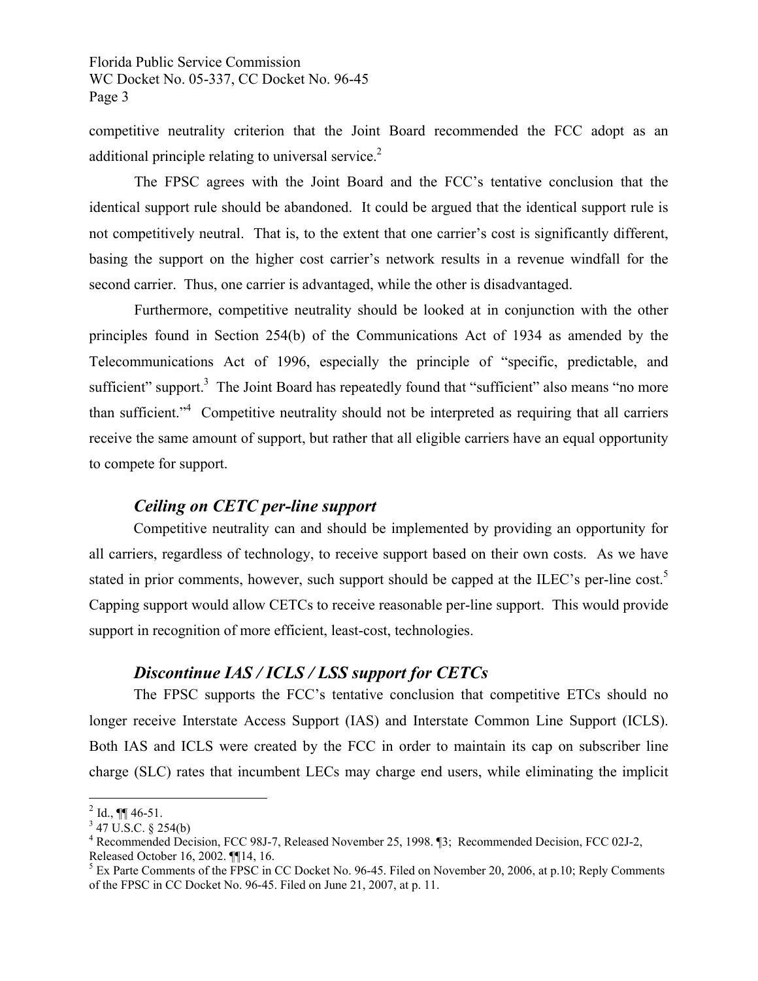competitive neutrality criterion that the Joint Board recommended the FCC adopt as an additional principle relating to universal service.<sup>2</sup>

 The FPSC agrees with the Joint Board and the FCC's tentative conclusion that the identical support rule should be abandoned. It could be argued that the identical support rule is not competitively neutral. That is, to the extent that one carrier's cost is significantly different, basing the support on the higher cost carrier's network results in a revenue windfall for the second carrier. Thus, one carrier is advantaged, while the other is disadvantaged.

 Furthermore, competitive neutrality should be looked at in conjunction with the other principles found in Section 254(b) of the Communications Act of 1934 as amended by the Telecommunications Act of 1996, especially the principle of "specific, predictable, and sufficient" support. $3$  The Joint Board has repeatedly found that "sufficient" also means "no more than sufficient."<sup>4</sup> Competitive neutrality should not be interpreted as requiring that all carriers receive the same amount of support, but rather that all eligible carriers have an equal opportunity to compete for support.

## *Ceiling on CETC per-line support*

 Competitive neutrality can and should be implemented by providing an opportunity for all carriers, regardless of technology, to receive support based on their own costs. As we have stated in prior comments, however, such support should be capped at the ILEC's per-line cost.<sup>5</sup> Capping support would allow CETCs to receive reasonable per-line support. This would provide support in recognition of more efficient, least-cost, technologies.

## *Discontinue IAS / ICLS / LSS support for CETCs*

 The FPSC supports the FCC's tentative conclusion that competitive ETCs should no longer receive Interstate Access Support (IAS) and Interstate Common Line Support (ICLS). Both IAS and ICLS were created by the FCC in order to maintain its cap on subscriber line charge (SLC) rates that incumbent LECs may charge end users, while eliminating the implicit

 $\overline{a}$ 

 $^{2}$  Id., ¶¶ 46-51.

 $3$  47 U.S.C. § 254(b)

<sup>&</sup>lt;sup>4</sup> Recommended Decision, FCC 98J-7, Released November 25, 1998. [3; Recommended Decision, FCC 02J-2, Released October 16, 2002. ¶¶14, 16.

<sup>&</sup>lt;sup>5</sup> Ex Parte Comments of the FPSC in CC Docket No. 96-45. Filed on November 20, 2006, at p.10; Reply Comments of the FPSC in CC Docket No. 96-45. Filed on June 21, 2007, at p. 11.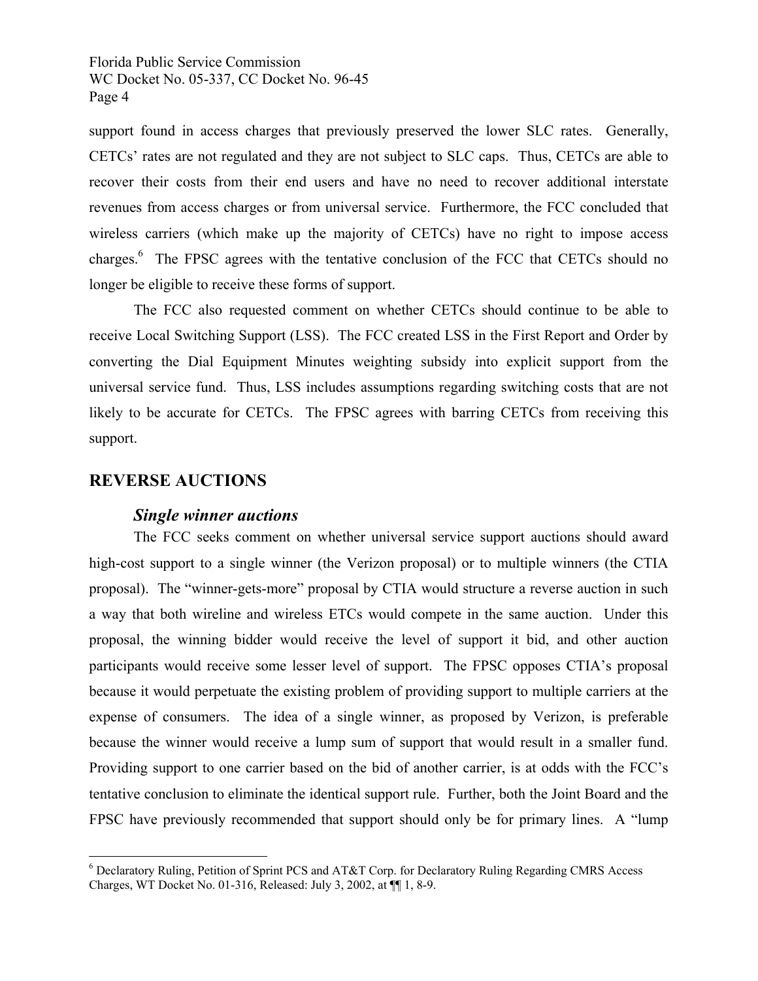support found in access charges that previously preserved the lower SLC rates. Generally, CETCs' rates are not regulated and they are not subject to SLC caps. Thus, CETCs are able to recover their costs from their end users and have no need to recover additional interstate revenues from access charges or from universal service. Furthermore, the FCC concluded that wireless carriers (which make up the majority of CETCs) have no right to impose access charges.<sup>6</sup> The FPSC agrees with the tentative conclusion of the FCC that CETCs should no longer be eligible to receive these forms of support.

 The FCC also requested comment on whether CETCs should continue to be able to receive Local Switching Support (LSS). The FCC created LSS in the First Report and Order by converting the Dial Equipment Minutes weighting subsidy into explicit support from the universal service fund. Thus, LSS includes assumptions regarding switching costs that are not likely to be accurate for CETCs. The FPSC agrees with barring CETCs from receiving this support.

#### **REVERSE AUCTIONS**

 $\overline{a}$ 

#### *Single winner auctions*

 The FCC seeks comment on whether universal service support auctions should award high-cost support to a single winner (the Verizon proposal) or to multiple winners (the CTIA proposal). The "winner-gets-more" proposal by CTIA would structure a reverse auction in such a way that both wireline and wireless ETCs would compete in the same auction. Under this proposal, the winning bidder would receive the level of support it bid, and other auction participants would receive some lesser level of support. The FPSC opposes CTIA's proposal because it would perpetuate the existing problem of providing support to multiple carriers at the expense of consumers. The idea of a single winner, as proposed by Verizon, is preferable because the winner would receive a lump sum of support that would result in a smaller fund. Providing support to one carrier based on the bid of another carrier, is at odds with the FCC's tentative conclusion to eliminate the identical support rule. Further, both the Joint Board and the FPSC have previously recommended that support should only be for primary lines. A "lump

<sup>&</sup>lt;sup>6</sup> Declaratory Ruling, Petition of Sprint PCS and AT&T Corp. for Declaratory Ruling Regarding CMRS Access Charges, WT Docket No. 01-316, Released: July 3, 2002, at ¶¶ 1, 8-9.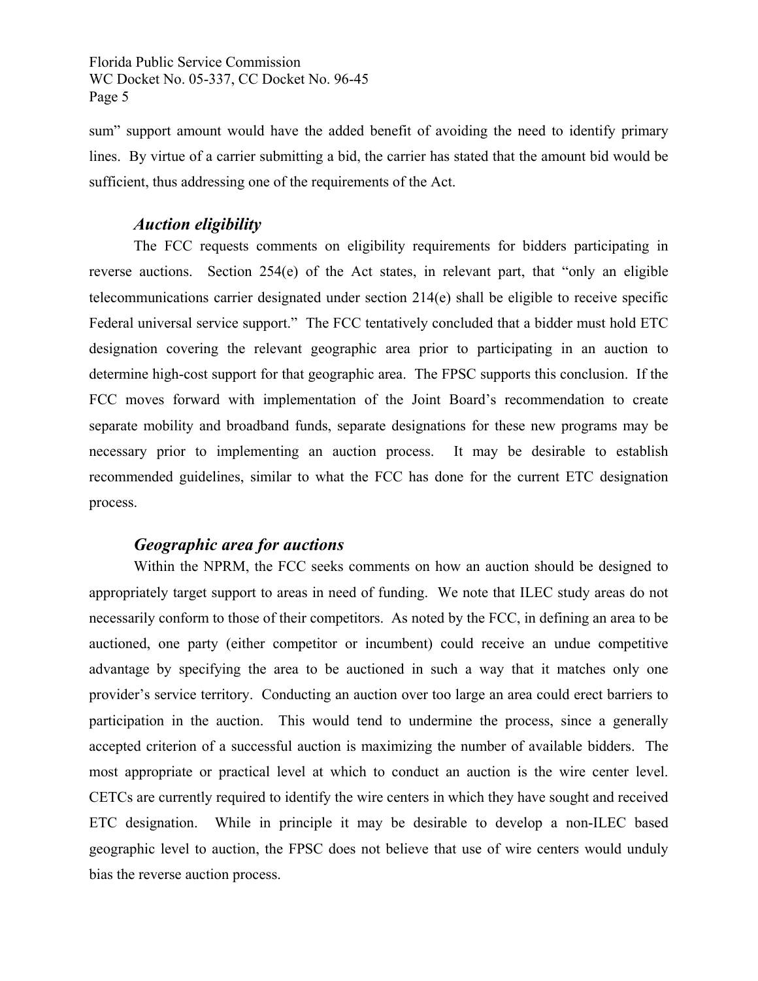sum" support amount would have the added benefit of avoiding the need to identify primary lines. By virtue of a carrier submitting a bid, the carrier has stated that the amount bid would be sufficient, thus addressing one of the requirements of the Act.

## *Auction eligibility*

 The FCC requests comments on eligibility requirements for bidders participating in reverse auctions. Section 254(e) of the Act states, in relevant part, that "only an eligible telecommunications carrier designated under section 214(e) shall be eligible to receive specific Federal universal service support." The FCC tentatively concluded that a bidder must hold ETC designation covering the relevant geographic area prior to participating in an auction to determine high-cost support for that geographic area. The FPSC supports this conclusion. If the FCC moves forward with implementation of the Joint Board's recommendation to create separate mobility and broadband funds, separate designations for these new programs may be necessary prior to implementing an auction process. It may be desirable to establish recommended guidelines, similar to what the FCC has done for the current ETC designation process.

## *Geographic area for auctions*

 Within the NPRM, the FCC seeks comments on how an auction should be designed to appropriately target support to areas in need of funding. We note that ILEC study areas do not necessarily conform to those of their competitors. As noted by the FCC, in defining an area to be auctioned, one party (either competitor or incumbent) could receive an undue competitive advantage by specifying the area to be auctioned in such a way that it matches only one provider's service territory. Conducting an auction over too large an area could erect barriers to participation in the auction. This would tend to undermine the process, since a generally accepted criterion of a successful auction is maximizing the number of available bidders. The most appropriate or practical level at which to conduct an auction is the wire center level. CETCs are currently required to identify the wire centers in which they have sought and received ETC designation. While in principle it may be desirable to develop a non-ILEC based geographic level to auction, the FPSC does not believe that use of wire centers would unduly bias the reverse auction process.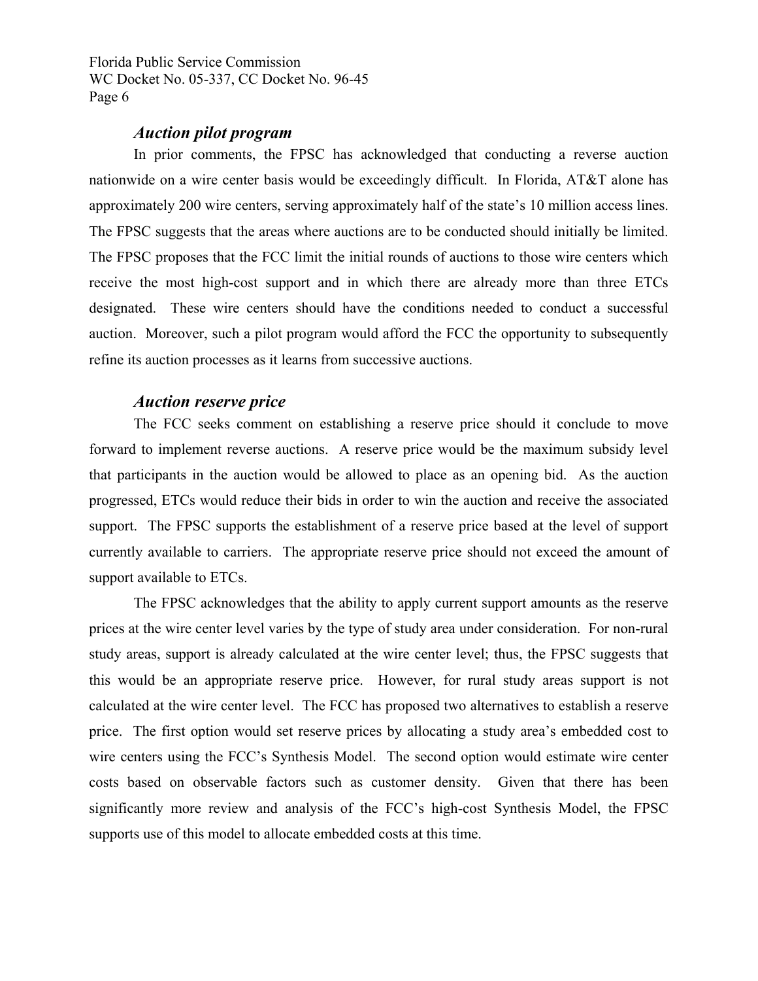## *Auction pilot program*

 In prior comments, the FPSC has acknowledged that conducting a reverse auction nationwide on a wire center basis would be exceedingly difficult. In Florida, AT&T alone has approximately 200 wire centers, serving approximately half of the state's 10 million access lines. The FPSC suggests that the areas where auctions are to be conducted should initially be limited. The FPSC proposes that the FCC limit the initial rounds of auctions to those wire centers which receive the most high-cost support and in which there are already more than three ETCs designated. These wire centers should have the conditions needed to conduct a successful auction. Moreover, such a pilot program would afford the FCC the opportunity to subsequently refine its auction processes as it learns from successive auctions.

#### *Auction reserve price*

 The FCC seeks comment on establishing a reserve price should it conclude to move forward to implement reverse auctions. A reserve price would be the maximum subsidy level that participants in the auction would be allowed to place as an opening bid. As the auction progressed, ETCs would reduce their bids in order to win the auction and receive the associated support. The FPSC supports the establishment of a reserve price based at the level of support currently available to carriers. The appropriate reserve price should not exceed the amount of support available to ETCs.

 The FPSC acknowledges that the ability to apply current support amounts as the reserve prices at the wire center level varies by the type of study area under consideration. For non-rural study areas, support is already calculated at the wire center level; thus, the FPSC suggests that this would be an appropriate reserve price. However, for rural study areas support is not calculated at the wire center level. The FCC has proposed two alternatives to establish a reserve price. The first option would set reserve prices by allocating a study area's embedded cost to wire centers using the FCC's Synthesis Model. The second option would estimate wire center costs based on observable factors such as customer density. Given that there has been significantly more review and analysis of the FCC's high-cost Synthesis Model, the FPSC supports use of this model to allocate embedded costs at this time.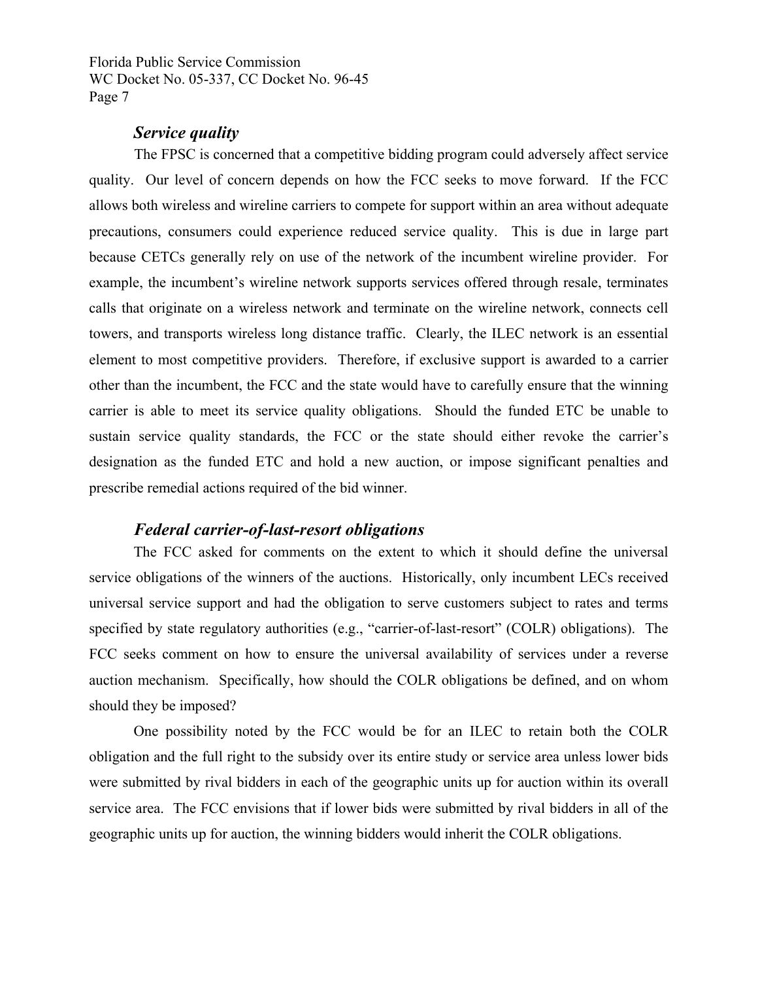## *Service quality*

 The FPSC is concerned that a competitive bidding program could adversely affect service quality. Our level of concern depends on how the FCC seeks to move forward. If the FCC allows both wireless and wireline carriers to compete for support within an area without adequate precautions, consumers could experience reduced service quality. This is due in large part because CETCs generally rely on use of the network of the incumbent wireline provider. For example, the incumbent's wireline network supports services offered through resale, terminates calls that originate on a wireless network and terminate on the wireline network, connects cell towers, and transports wireless long distance traffic. Clearly, the ILEC network is an essential element to most competitive providers. Therefore, if exclusive support is awarded to a carrier other than the incumbent, the FCC and the state would have to carefully ensure that the winning carrier is able to meet its service quality obligations. Should the funded ETC be unable to sustain service quality standards, the FCC or the state should either revoke the carrier's designation as the funded ETC and hold a new auction, or impose significant penalties and prescribe remedial actions required of the bid winner.

#### *Federal carrier-of-last-resort obligations*

 The FCC asked for comments on the extent to which it should define the universal service obligations of the winners of the auctions. Historically, only incumbent LECs received universal service support and had the obligation to serve customers subject to rates and terms specified by state regulatory authorities (e.g., "carrier-of-last-resort" (COLR) obligations). The FCC seeks comment on how to ensure the universal availability of services under a reverse auction mechanism. Specifically, how should the COLR obligations be defined, and on whom should they be imposed?

 One possibility noted by the FCC would be for an ILEC to retain both the COLR obligation and the full right to the subsidy over its entire study or service area unless lower bids were submitted by rival bidders in each of the geographic units up for auction within its overall service area. The FCC envisions that if lower bids were submitted by rival bidders in all of the geographic units up for auction, the winning bidders would inherit the COLR obligations.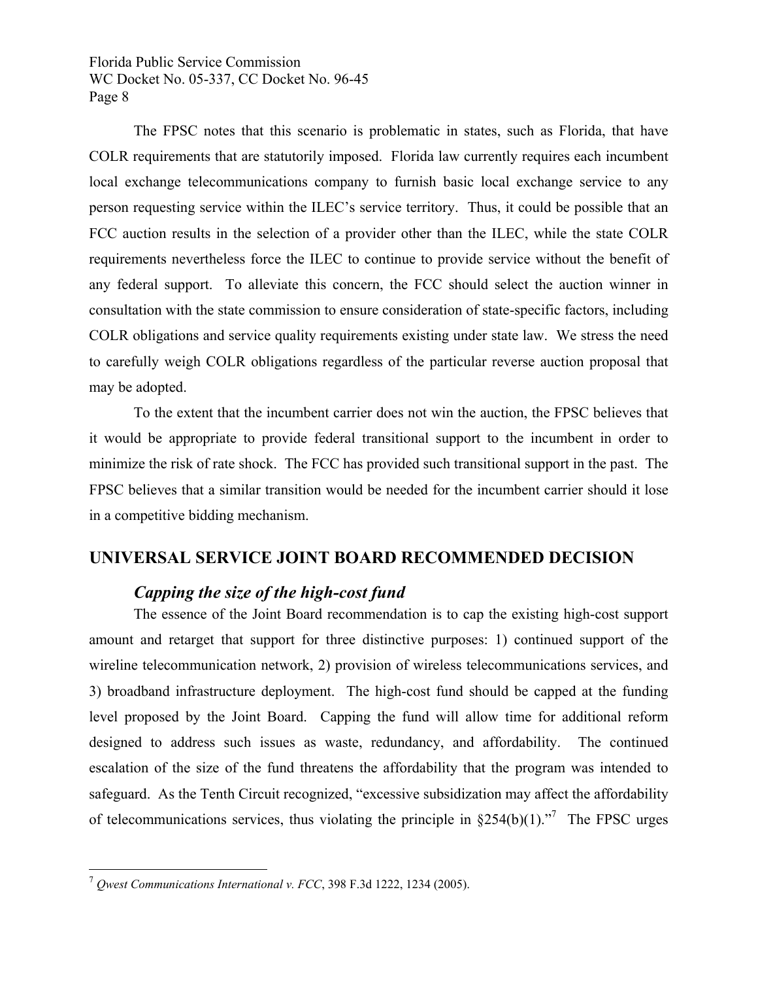The FPSC notes that this scenario is problematic in states, such as Florida, that have COLR requirements that are statutorily imposed. Florida law currently requires each incumbent local exchange telecommunications company to furnish basic local exchange service to any person requesting service within the ILEC's service territory. Thus, it could be possible that an FCC auction results in the selection of a provider other than the ILEC, while the state COLR requirements nevertheless force the ILEC to continue to provide service without the benefit of any federal support. To alleviate this concern, the FCC should select the auction winner in consultation with the state commission to ensure consideration of state-specific factors, including COLR obligations and service quality requirements existing under state law. We stress the need to carefully weigh COLR obligations regardless of the particular reverse auction proposal that may be adopted.

 To the extent that the incumbent carrier does not win the auction, the FPSC believes that it would be appropriate to provide federal transitional support to the incumbent in order to minimize the risk of rate shock. The FCC has provided such transitional support in the past. The FPSC believes that a similar transition would be needed for the incumbent carrier should it lose in a competitive bidding mechanism.

## **UNIVERSAL SERVICE JOINT BOARD RECOMMENDED DECISION**

## *Capping the size of the high-cost fund*

 The essence of the Joint Board recommendation is to cap the existing high-cost support amount and retarget that support for three distinctive purposes: 1) continued support of the wireline telecommunication network, 2) provision of wireless telecommunications services, and 3) broadband infrastructure deployment. The high-cost fund should be capped at the funding level proposed by the Joint Board. Capping the fund will allow time for additional reform designed to address such issues as waste, redundancy, and affordability. The continued escalation of the size of the fund threatens the affordability that the program was intended to safeguard. As the Tenth Circuit recognized, "excessive subsidization may affect the affordability of telecommunications services, thus violating the principle in  $\S 254(b)(1)$ .<sup>77</sup> The FPSC urges

 $\overline{a}$ 

<sup>7</sup> *Qwest Communications International v. FCC*, 398 F.3d 1222, 1234 (2005).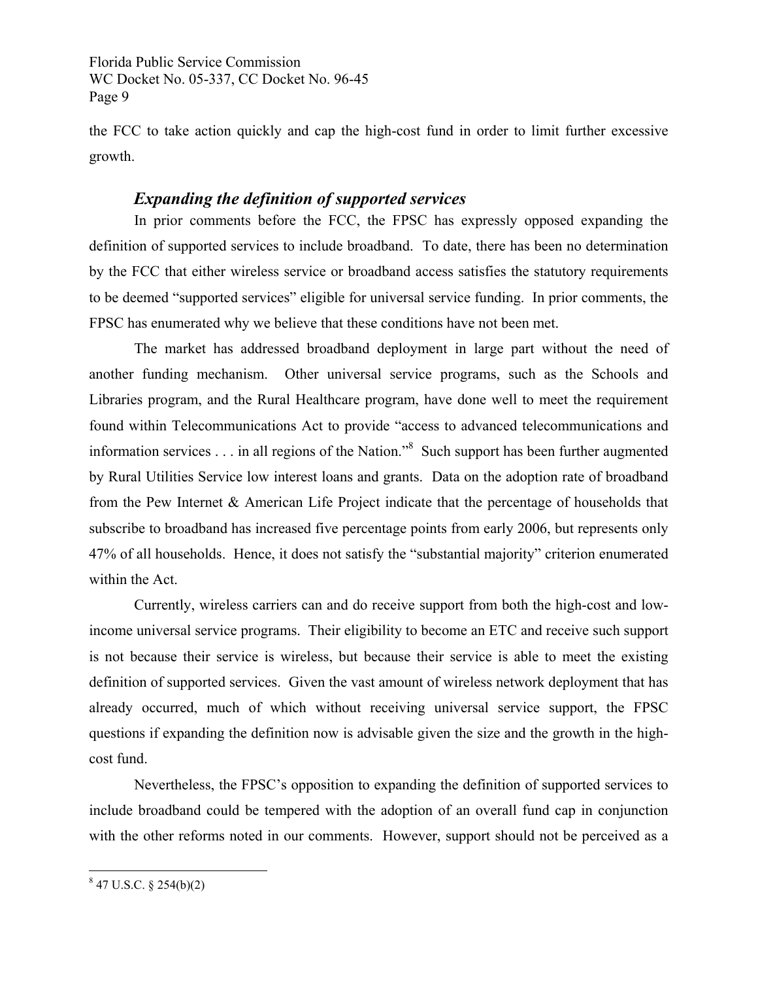the FCC to take action quickly and cap the high-cost fund in order to limit further excessive growth.

## *Expanding the definition of supported services*

 In prior comments before the FCC, the FPSC has expressly opposed expanding the definition of supported services to include broadband. To date, there has been no determination by the FCC that either wireless service or broadband access satisfies the statutory requirements to be deemed "supported services" eligible for universal service funding. In prior comments, the FPSC has enumerated why we believe that these conditions have not been met.

 The market has addressed broadband deployment in large part without the need of another funding mechanism. Other universal service programs, such as the Schools and Libraries program, and the Rural Healthcare program, have done well to meet the requirement found within Telecommunications Act to provide "access to advanced telecommunications and information services . . . in all regions of the Nation."<sup>8</sup> Such support has been further augmented by Rural Utilities Service low interest loans and grants. Data on the adoption rate of broadband from the Pew Internet & American Life Project indicate that the percentage of households that subscribe to broadband has increased five percentage points from early 2006, but represents only 47% of all households. Hence, it does not satisfy the "substantial majority" criterion enumerated within the Act.

 Currently, wireless carriers can and do receive support from both the high-cost and lowincome universal service programs. Their eligibility to become an ETC and receive such support is not because their service is wireless, but because their service is able to meet the existing definition of supported services. Given the vast amount of wireless network deployment that has already occurred, much of which without receiving universal service support, the FPSC questions if expanding the definition now is advisable given the size and the growth in the highcost fund.

 Nevertheless, the FPSC's opposition to expanding the definition of supported services to include broadband could be tempered with the adoption of an overall fund cap in conjunction with the other reforms noted in our comments. However, support should not be perceived as a

 8 47 U.S.C. § 254(b)(2)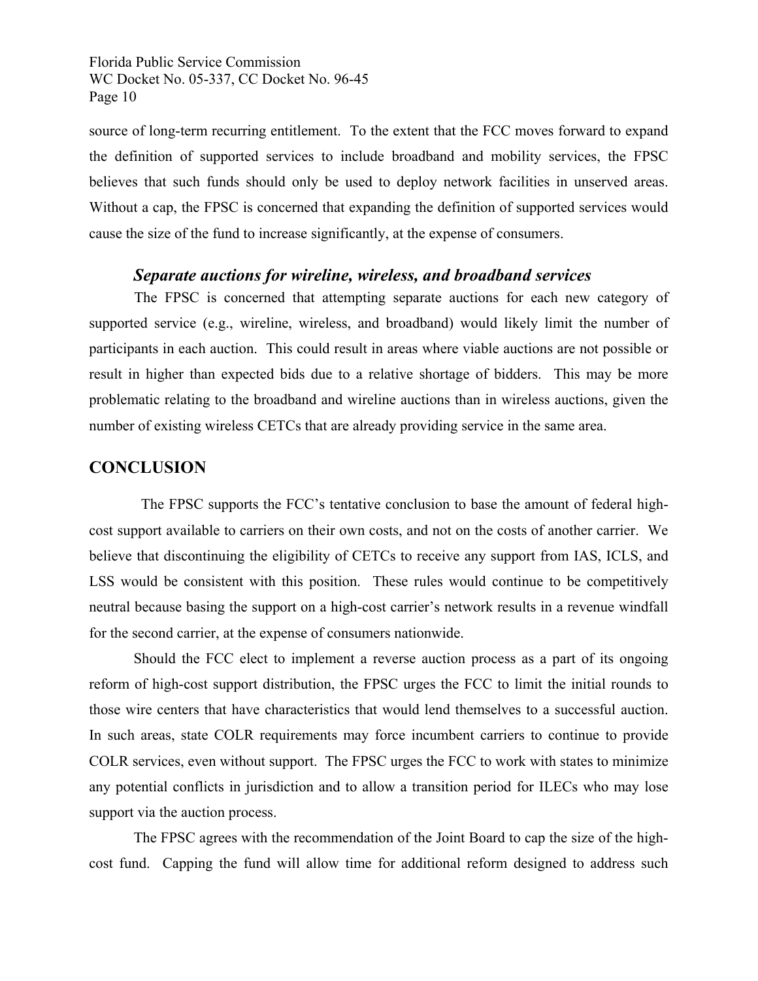source of long-term recurring entitlement. To the extent that the FCC moves forward to expand the definition of supported services to include broadband and mobility services, the FPSC believes that such funds should only be used to deploy network facilities in unserved areas. Without a cap, the FPSC is concerned that expanding the definition of supported services would cause the size of the fund to increase significantly, at the expense of consumers.

#### *Separate auctions for wireline, wireless, and broadband services*

 The FPSC is concerned that attempting separate auctions for each new category of supported service (e.g., wireline, wireless, and broadband) would likely limit the number of participants in each auction. This could result in areas where viable auctions are not possible or result in higher than expected bids due to a relative shortage of bidders. This may be more problematic relating to the broadband and wireline auctions than in wireless auctions, given the number of existing wireless CETCs that are already providing service in the same area.

## **CONCLUSION**

 The FPSC supports the FCC's tentative conclusion to base the amount of federal highcost support available to carriers on their own costs, and not on the costs of another carrier. We believe that discontinuing the eligibility of CETCs to receive any support from IAS, ICLS, and LSS would be consistent with this position. These rules would continue to be competitively neutral because basing the support on a high-cost carrier's network results in a revenue windfall for the second carrier, at the expense of consumers nationwide.

 Should the FCC elect to implement a reverse auction process as a part of its ongoing reform of high-cost support distribution, the FPSC urges the FCC to limit the initial rounds to those wire centers that have characteristics that would lend themselves to a successful auction. In such areas, state COLR requirements may force incumbent carriers to continue to provide COLR services, even without support. The FPSC urges the FCC to work with states to minimize any potential conflicts in jurisdiction and to allow a transition period for ILECs who may lose support via the auction process.

 The FPSC agrees with the recommendation of the Joint Board to cap the size of the highcost fund. Capping the fund will allow time for additional reform designed to address such